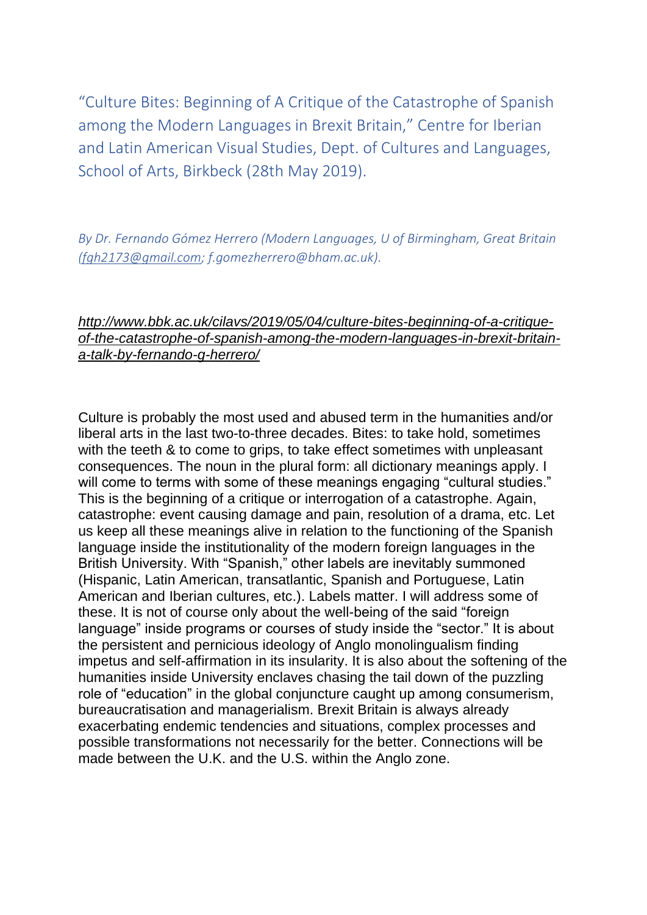"Culture Bites: Beginning of A Critique of the Catastrophe of Spanish among the Modern Languages in Brexit Britain," Centre for Iberian and Latin American Visual Studies, Dept. of Cultures and Languages, School of Arts, Birkbeck (28th May 2019).

*By Dr. Fernando Gómez Herrero (Modern Languages, U of Birmingham, Great Britain (fgh2173@gmail.com; f.gomezherrero@bham.ac.uk).*

## *http://www.bbk.ac.uk/cilavs/2019/05/04/culture-bites-beginning-of-a-critiqueof-the-catastrophe-of-spanish-among-the-modern-languages-in-brexit-britaina-talk-by-fernando-g-herrero/*

Culture is probably the most used and abused term in the humanities and/or liberal arts in the last two-to-three decades. Bites: to take hold, sometimes with the teeth & to come to grips, to take effect sometimes with unpleasant consequences. The noun in the plural form: all dictionary meanings apply. I will come to terms with some of these meanings engaging "cultural studies." This is the beginning of a critique or interrogation of a catastrophe. Again, catastrophe: event causing damage and pain, resolution of a drama, etc. Let us keep all these meanings alive in relation to the functioning of the Spanish language inside the institutionality of the modern foreign languages in the British University. With "Spanish," other labels are inevitably summoned (Hispanic, Latin American, transatlantic, Spanish and Portuguese, Latin American and Iberian cultures, etc.). Labels matter. I will address some of these. It is not of course only about the well-being of the said "foreign language" inside programs or courses of study inside the "sector." It is about the persistent and pernicious ideology of Anglo monolingualism finding impetus and self-affirmation in its insularity. It is also about the softening of the humanities inside University enclaves chasing the tail down of the puzzling role of "education" in the global conjuncture caught up among consumerism, bureaucratisation and managerialism. Brexit Britain is always already exacerbating endemic tendencies and situations, complex processes and possible transformations not necessarily for the better. Connections will be made between the U.K. and the U.S. within the Anglo zone.